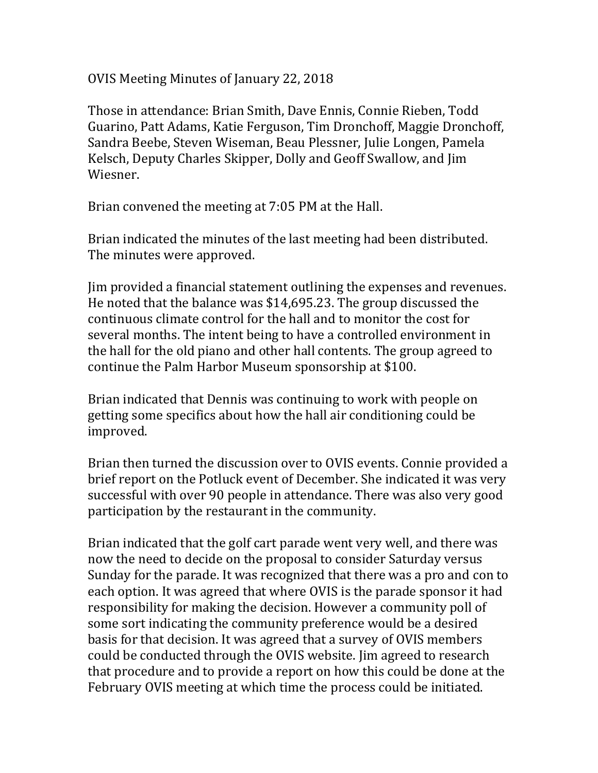OVIS Meeting Minutes of January 22, 2018

Those in attendance: Brian Smith, Dave Ennis, Connie Rieben, Todd Guarino, Patt Adams, Katie Ferguson, Tim Dronchoff, Maggie Dronchoff, Sandra Beebe, Steven Wiseman, Beau Plessner, Julie Longen, Pamela Kelsch, Deputy Charles Skipper, Dolly and Geoff Swallow, and Jim Wiesner.

Brian convened the meeting at 7:05 PM at the Hall.

Brian indicated the minutes of the last meeting had been distributed. The minutes were approved.

Jim provided a financial statement outlining the expenses and revenues. He noted that the balance was \$14,695.23. The group discussed the continuous climate control for the hall and to monitor the cost for several months. The intent being to have a controlled environment in the hall for the old piano and other hall contents. The group agreed to continue the Palm Harbor Museum sponsorship at \$100.

Brian indicated that Dennis was continuing to work with people on getting some specifics about how the hall air conditioning could be improved.

Brian then turned the discussion over to OVIS events. Connie provided a brief report on the Potluck event of December. She indicated it was very successful with over 90 people in attendance. There was also very good participation by the restaurant in the community.

Brian indicated that the golf cart parade went very well, and there was now the need to decide on the proposal to consider Saturday versus Sunday for the parade. It was recognized that there was a pro and con to each option. It was agreed that where OVIS is the parade sponsor it had responsibility for making the decision. However a community poll of some sort indicating the community preference would be a desired basis for that decision. It was agreed that a survey of OVIS members could be conducted through the OVIS website. Jim agreed to research that procedure and to provide a report on how this could be done at the February OVIS meeting at which time the process could be initiated.